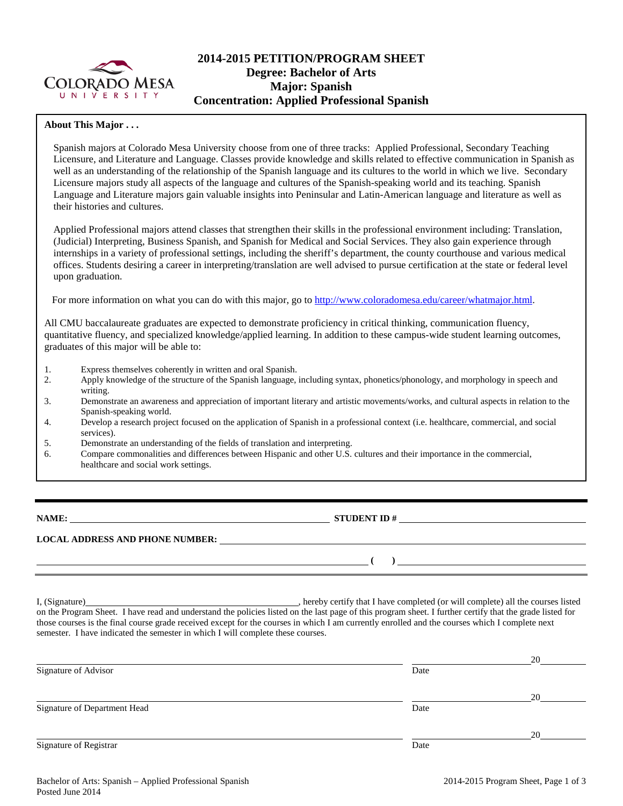

# **2014-2015 PETITION/PROGRAM SHEET Degree: Bachelor of Arts Major: Spanish Concentration: Applied Professional Spanish**

#### **About This Major . . .**

Spanish majors at Colorado Mesa University choose from one of three tracks: Applied Professional, Secondary Teaching Licensure, and Literature and Language. Classes provide knowledge and skills related to effective communication in Spanish as well as an understanding of the relationship of the Spanish language and its cultures to the world in which we live. Secondary Licensure majors study all aspects of the language and cultures of the Spanish-speaking world and its teaching. Spanish Language and Literature majors gain valuable insights into Peninsular and Latin-American language and literature as well as their histories and cultures.

Applied Professional majors attend classes that strengthen their skills in the professional environment including: Translation, (Judicial) Interpreting, Business Spanish, and Spanish for Medical and Social Services. They also gain experience through internships in a variety of professional settings, including the sheriff's department, the county courthouse and various medical offices. Students desiring a career in interpreting/translation are well advised to pursue certification at the state or federal level upon graduation.

For more information on what you can do with this major, go to [http://www.coloradomesa.edu/career/whatmajor.html.](http://www.coloradomesa.edu/career/whatmajor.html)

All CMU baccalaureate graduates are expected to demonstrate proficiency in critical thinking, communication fluency, quantitative fluency, and specialized knowledge/applied learning. In addition to these campus-wide student learning outcomes, graduates of this major will be able to:

- 1. Express themselves coherently in written and oral Spanish.
- 2. Apply knowledge of the structure of the Spanish language, including syntax, phonetics/phonology, and morphology in speech and writing.
- 3. Demonstrate an awareness and appreciation of important literary and artistic movements/works, and cultural aspects in relation to the Spanish-speaking world.
- 4. Develop a research project focused on the application of Spanish in a professional context (i.e. healthcare, commercial, and social services).
- 5. Demonstrate an understanding of the fields of translation and interpreting.
- 6. Compare commonalities and differences between Hispanic and other U.S. cultures and their importance in the commercial, healthcare and social work settings.

**NAME: STUDENT ID #**

**( )** 

**LOCAL ADDRESS AND PHONE NUMBER:**

I, (Signature) , hereby certify that I have completed (or will complete) all the courses listed on the Program Sheet. I have read and understand the policies listed on the last page of this program sheet. I further certify that the grade listed for those courses is the final course grade received except for the courses in which I am currently enrolled and the courses which I complete next semester. I have indicated the semester in which I will complete these courses.

|                              |      | 20 |
|------------------------------|------|----|
| Signature of Advisor         | Date |    |
|                              |      | 20 |
| Signature of Department Head | Date |    |
|                              |      | 20 |
| Signature of Registrar       | Date |    |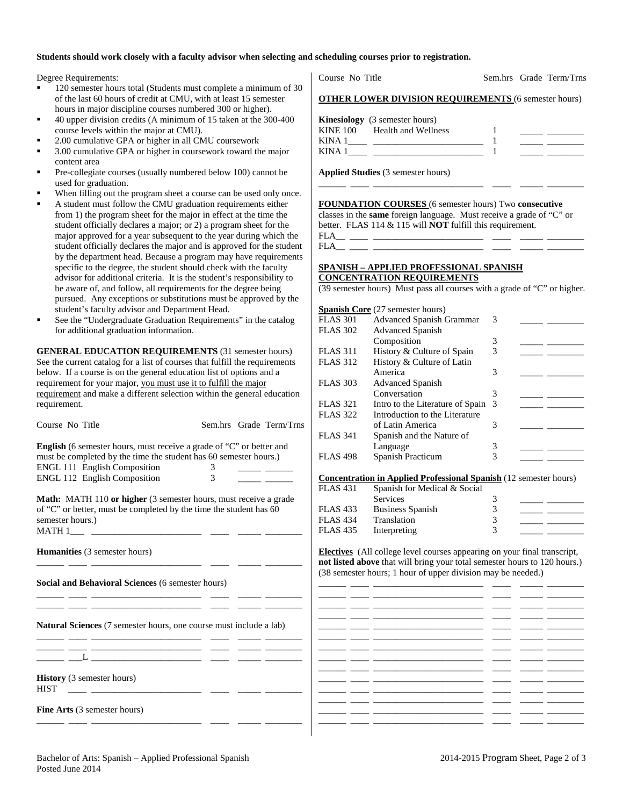## **Students should work closely with a faculty advisor when selecting and scheduling courses prior to registration.**

Degree Requirements:

- 120 semester hours total (Students must complete a minimum of 30 of the last 60 hours of credit at CMU, with at least 15 semester hours in major discipline courses numbered 300 or higher).
- 40 upper division credits (A minimum of 15 taken at the 300-400 course levels within the major at CMU).
- 2.00 cumulative GPA or higher in all CMU coursework
- 3.00 cumulative GPA or higher in coursework toward the major content area
- Pre-collegiate courses (usually numbered below 100) cannot be used for graduation.
- When filling out the program sheet a course can be used only once.
- A student must follow the CMU graduation requirements either from 1) the program sheet for the major in effect at the time the student officially declares a major; or 2) a program sheet for the major approved for a year subsequent to the year during which the student officially declares the major and is approved for the student by the department head. Because a program may have requirements specific to the degree, the student should check with the faculty advisor for additional criteria. It is the student's responsibility to be aware of, and follow, all requirements for the degree being pursued. Any exceptions or substitutions must be approved by the student's faculty advisor and Department Head.
- See the "Undergraduate Graduation Requirements" in the catalog for additional graduation information.

**GENERAL EDUCATION REQUIREMENTS** (31 semester hours) See the current catalog for a list of courses that fulfill the requirements below. If a course is on the general education list of options and a requirement for your major, you must use it to fulfill the major requirement and make a different selection within the general education requirement.

| Course No Title                                                                                                                                                                                                                                                                   | Sem.hrs Grade Term/Trns |
|-----------------------------------------------------------------------------------------------------------------------------------------------------------------------------------------------------------------------------------------------------------------------------------|-------------------------|
| <b>English</b> (6 semester hours, must receive a grade of "C" or better and<br>must be completed by the time the student has 60 semester hours.)<br><b>ENGL 111 English Composition</b><br><b>ENGL 112 English Composition</b>                                                    | 3<br>$\mathcal{E}$      |
| <b>Math:</b> MATH 110 or higher (3 semester hours, must receive a grade<br>of "C" or better, must be completed by the time the student has 60<br>semester hours.)                                                                                                                 |                         |
| <b>Humanities</b> (3 semester hours)<br><u> 22 maande, 23 maande, 23 maande, 23 maande, 23 maande, 23 maande, 23 maande, 23 maande, 23 maande, 23 maande, 23 maande, 23 maande, 23 maande, 23 maande, 23 maande, 23 maande, 23 maande, 23 maande, 23 maande, 23 maande, </u>      |                         |
| <b>Social and Behavioral Sciences (6 semester hours)</b>                                                                                                                                                                                                                          |                         |
| <b>Natural Sciences</b> (7 semester hours, one course must include a lab)                                                                                                                                                                                                         |                         |
|                                                                                                                                                                                                                                                                                   |                         |
| History (3 semester hours)<br><b>HIST</b><br><u> 22 mars - Andrea Andrew Mars - 22 mars - 22 mars - 22 mars - 22 mars - 22 mars - 22 mars - 22 mars - 22 mars - 22 mars - 22 mars - 22 mars - 22 mars - 22 mars - 22 mars - 22 mars - 22 mars - 22 mars - 22 mars - 22 mars -</u> |                         |
| <b>Fine Arts</b> (3 semester hours)                                                                                                                                                                                                                                               |                         |

Course No Title Sem.hrs Grade Term/Trns

|  | <b>OTHER LOWER DIVISION REQUIREMENTS (6 semester hours)</b> |  |  |  |
|--|-------------------------------------------------------------|--|--|--|
|--|-------------------------------------------------------------|--|--|--|

|             | <b>Kinesiology</b> (3 semester hours) |  |  |
|-------------|---------------------------------------|--|--|
|             | KINE 100 Health and Wellness          |  |  |
| <b>KINA</b> |                                       |  |  |
| <b>KINA</b> |                                       |  |  |

\_\_\_\_\_\_ \_\_\_\_ \_\_\_\_\_\_\_\_\_\_\_\_\_\_\_\_\_\_\_\_\_\_\_\_ \_\_\_\_ \_\_\_\_\_ \_\_\_\_\_\_\_\_

**Applied Studies** (3 semester hours)

**FOUNDATION COURSES** (6 semester hours) Two **consecutive** classes in the **same** foreign language. Must receive a grade of "C" or better. FLAS 114 & 115 will **NOT** fulfill this requirement.

FLA\_\_ \_\_\_\_ \_\_\_\_\_\_\_\_\_\_\_\_\_\_\_\_\_\_\_\_\_\_\_\_ \_\_\_\_ \_\_\_\_\_ \_\_\_\_\_\_\_\_ FLA\_\_ \_\_\_\_ \_\_\_\_\_\_\_\_\_\_\_\_\_\_\_\_\_\_\_\_\_\_\_\_ \_\_\_\_ \_\_\_\_\_ \_\_\_\_\_\_\_\_

### **SPANISH – APPLIED PROFESSIONAL SPANISH CONCENTRATION REQUIREMENTS**

(39 semester hours) Must pass all courses with a grade of "C" or higher.

|                 | <b>Spanish Core</b> (27 semester hours) |     |  |
|-----------------|-----------------------------------------|-----|--|
| <b>FLAS 301</b> | <b>Advanced Spanish Grammar</b>         | 3   |  |
| <b>FLAS 302</b> | <b>Advanced Spanish</b>                 |     |  |
|                 | Composition                             | 3   |  |
| <b>FLAS</b> 311 | History & Culture of Spain              | 3   |  |
| <b>FLAS 312</b> | History & Culture of Latin              |     |  |
|                 | America                                 | 3   |  |
| <b>FLAS 303</b> | <b>Advanced Spanish</b>                 |     |  |
|                 | Conversation                            | 3   |  |
| <b>FLAS</b> 321 | Intro to the Literature of Spain        | - 3 |  |
| <b>FLAS 322</b> | Introduction to the Literature          |     |  |
|                 | of Latin America                        | 3   |  |
| <b>FLAS</b> 341 | Spanish and the Nature of               |     |  |
|                 | Language                                | 3   |  |
| <b>FLAS 498</b> | Spanish Practicum                       | 3   |  |

**Concentration in Applied Professional Spanish** (12 semester hours)

| FLAS 431        | Spanish for Medical & Social |  |
|-----------------|------------------------------|--|
|                 | Services                     |  |
| FLAS 433        | <b>Business Spanish</b>      |  |
| <b>FLAS 434</b> | Translation                  |  |
| FLAS 435        | Interpreting                 |  |
|                 |                              |  |

**Electives** (All college level courses appearing on your final transcript, **not listed above** that will bring your total semester hours to 120 hours.) 38 semester hours; 1 hour of upper division may be needed.)

\_\_\_\_\_\_ \_\_\_\_ \_\_\_\_\_\_\_\_\_\_\_\_\_\_\_\_\_\_\_\_\_\_\_\_ \_\_\_\_ \_\_\_\_\_ \_\_\_\_\_\_\_\_ \_\_\_\_\_\_ \_\_\_\_ \_\_\_\_\_\_\_\_\_\_\_\_\_\_\_\_\_\_\_\_\_\_\_\_ \_\_\_\_ \_\_\_\_\_ \_\_\_\_\_\_\_\_ \_\_\_\_\_\_ \_\_\_\_ \_\_\_\_\_\_\_\_\_\_\_\_\_\_\_\_\_\_\_\_\_\_\_\_ \_\_\_\_ \_\_\_\_\_ \_\_\_\_\_\_\_\_ \_\_\_\_\_\_ \_\_\_\_ \_\_\_\_\_\_\_\_\_\_\_\_\_\_\_\_\_\_\_\_\_\_\_\_ \_\_\_\_ \_\_\_\_\_ \_\_\_\_\_\_\_\_ \_\_\_\_\_\_ \_\_\_\_ \_\_\_\_\_\_\_\_\_\_\_\_\_\_\_\_\_\_\_\_\_\_\_\_ \_\_\_\_ \_\_\_\_\_ \_\_\_\_\_\_\_\_ \_\_\_\_\_\_ \_\_\_\_ \_\_\_\_\_\_\_\_\_\_\_\_\_\_\_\_\_\_\_\_\_\_\_\_ \_\_\_\_ \_\_\_\_\_ \_\_\_\_\_\_\_\_ \_\_\_\_\_\_ \_\_\_\_ \_\_\_\_\_\_\_\_\_\_\_\_\_\_\_\_\_\_\_\_\_\_\_\_ \_\_\_\_ \_\_\_\_\_ \_\_\_\_\_\_\_\_ \_\_\_\_\_\_ \_\_\_\_ \_\_\_\_\_\_\_\_\_\_\_\_\_\_\_\_\_\_\_\_\_\_\_\_ \_\_\_\_ \_\_\_\_\_ \_\_\_\_\_\_\_\_ \_\_\_\_\_\_ \_\_\_\_ \_\_\_\_\_\_\_\_\_\_\_\_\_\_\_\_\_\_\_\_\_\_\_\_ \_\_\_\_ \_\_\_\_\_ \_\_\_\_\_\_\_\_ \_\_\_\_\_\_ \_\_\_\_ \_\_\_\_\_\_\_\_\_\_\_\_\_\_\_\_\_\_\_\_\_\_\_\_ \_\_\_\_ \_\_\_\_\_ \_\_\_\_\_\_\_\_ \_\_\_\_\_\_ \_\_\_\_ \_\_\_\_\_\_\_\_\_\_\_\_\_\_\_\_\_\_\_\_\_\_\_\_ \_\_\_\_ \_\_\_\_\_ \_\_\_\_\_\_\_\_ \_\_\_\_\_\_ \_\_\_\_ \_\_\_\_\_\_\_\_\_\_\_\_\_\_\_\_\_\_\_\_\_\_\_\_ \_\_\_\_ \_\_\_\_\_ \_\_\_\_\_\_\_\_ \_\_\_\_\_\_ \_\_\_\_ \_\_\_\_\_\_\_\_\_\_\_\_\_\_\_\_\_\_\_\_\_\_\_\_ \_\_\_\_ \_\_\_\_\_ \_\_\_\_\_\_\_\_ \_\_\_\_\_\_ \_\_\_\_ \_\_\_\_\_\_\_\_\_\_\_\_\_\_\_\_\_\_\_\_\_\_\_\_ \_\_\_\_ \_\_\_\_\_ \_\_\_\_\_\_\_\_